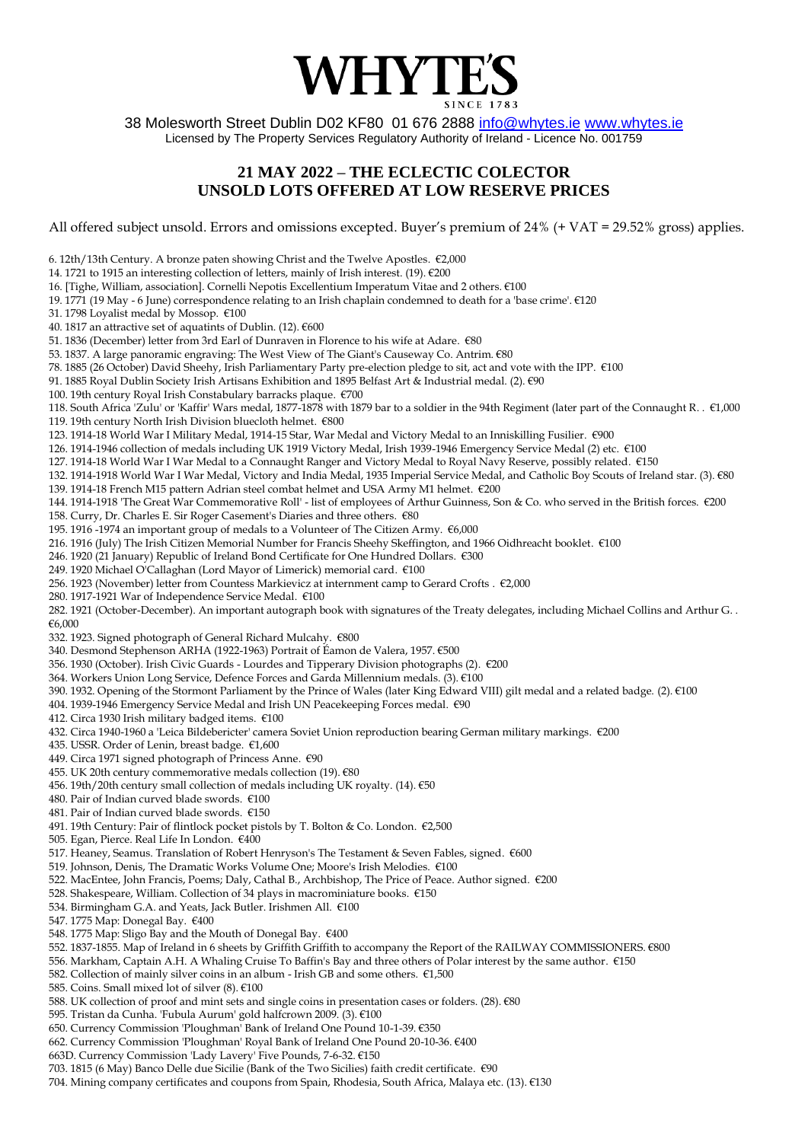

38 Molesworth Street Dublin D02 KF80 01 676 2888 [info@whytes.ie](mailto:info@whytes.ie) [www.whytes.ie](http://www.whytes.ie/) Licensed by The Property Services Regulatory Authority of Ireland - Licence No. 001759

## **21 MAY 2022 – THE ECLECTIC COLECTOR UNSOLD LOTS OFFERED AT LOW RESERVE PRICES**

All offered subject unsold. Errors and omissions excepted. Buyer's premium of 24% (+ VAT = 29.52% gross) applies.

6. 12th/13th Century. A bronze paten showing Christ and the Twelve Apostles. €2,000

- 14. 1721 to 1915 an interesting collection of letters, mainly of Irish interest. (19). €200
- 16. [Tighe, William, association]. Cornelli Nepotis Excellentium Imperatum Vitae and 2 others. €100
- 19. 1771 (19 May 6 June) correspondence relating to an Irish chaplain condemned to death for a 'base crime'. €120

31. 1798 Loyalist medal by Mossop. €100

40. 1817 an attractive set of aquatints of Dublin. (12). €600

51. 1836 (December) letter from 3rd Earl of Dunraven in Florence to his wife at Adare. €80

- 53. 1837. A large panoramic engraving: The West View of The Giant's Causeway Co. Antrim. €80
- 78. 1885 (26 October) David Sheehy, Irish Parliamentary Party pre-election pledge to sit, act and vote with the IPP. €100
- 91. 1885 Royal Dublin Society Irish Artisans Exhibition and 1895 Belfast Art & Industrial medal. (2). €90
- 100. 19th century Royal Irish Constabulary barracks plaque. €700

118. South Africa 'Zulu' or 'Kaffir' Wars medal, 1877-1878 with 1879 bar to a soldier in the 94th Regiment (later part of the Connaught R. . €1,000

119. 19th century North Irish Division bluecloth helmet. €800

123. 1914-18 World War I Military Medal, 1914-15 Star, War Medal and Victory Medal to an Inniskilling Fusilier. €900

126. 1914-1946 collection of medals including UK 1919 Victory Medal, Irish 1939-1946 Emergency Service Medal (2) etc. €100

127. 1914-18 World War I War Medal to a Connaught Ranger and Victory Medal to Royal Navy Reserve, possibly related. €150

132. 1914-1918 World War I War Medal, Victory and India Medal, 1935 Imperial Service Medal, and Catholic Boy Scouts of Ireland star. (3). €80

139. 1914-18 French M15 pattern Adrian steel combat helmet and USA Army M1 helmet. €200

144. 1914-1918 'The Great War Commemorative Roll' - list of employees of Arthur Guinness, Son & Co. who served in the British forces. €200

158. Curry, Dr. Charles E. Sir Roger Casement's Diaries and three others. €80

195. 1916 -1974 an important group of medals to a Volunteer of The Citizen Army. €6,000

216. 1916 (July) The Irish Citizen Memorial Number for Francis Sheehy Skeffington, and 1966 Oidhreacht booklet. €100

246. 1920 (21 January) Republic of Ireland Bond Certificate for One Hundred Dollars. €300

249. 1920 Michael O'Callaghan (Lord Mayor of Limerick) memorial card. €100

256. 1923 (November) letter from Countess Markievicz at internment camp to Gerard Crofts . €2,000

280. 1917-1921 War of Independence Service Medal. €100

282. 1921 (October-December). An important autograph book with signatures of the Treaty delegates, including Michael Collins and Arthur G. . €6,000

332. 1923. Signed photograph of General Richard Mulcahy. €800

340. Desmond Stephenson ARHA (1922-1963) Portrait of Éamon de Valera, 1957. €500

356. 1930 (October). Irish Civic Guards - Lourdes and Tipperary Division photographs (2). €200

- 364. Workers Union Long Service, Defence Forces and Garda Millennium medals. (3). €100
- 390. 1932. Opening of the Stormont Parliament by the Prince of Wales (later King Edward VIII) gilt medal and a related badge. (2). €100
- 404. 1939-1946 Emergency Service Medal and Irish UN Peacekeeping Forces medal. €90
- 412. Circa 1930 Irish military badged items. €100

432. Circa 1940-1960 a 'Leica Bildebericter' camera Soviet Union reproduction bearing German military markings. €200

435. USSR. Order of Lenin, breast badge. €1,600

- 449. Circa 1971 signed photograph of Princess Anne. €90
- 455. UK 20th century commemorative medals collection (19). €80
- 456. 19th/20th century small collection of medals including UK royalty. (14). €50

480. Pair of Indian curved blade swords. €100

- 481. Pair of Indian curved blade swords. €150
- 491. 19th Century: Pair of flintlock pocket pistols by T. Bolton & Co. London. €2,500
- 505. Egan, Pierce. Real Life In London. €400
- 517. Heaney, Seamus. Translation of Robert Henryson's The Testament & Seven Fables, signed. €600
- 519. Johnson, Denis, The Dramatic Works Volume One; Moore's Irish Melodies. €100
- 522. MacEntee, John Francis, Poems; Daly, Cathal B., Archbishop, The Price of Peace. Author signed. €200
- 528. Shakespeare, William. Collection of 34 plays in macrominiature books. €150
- 534. Birmingham G.A. and Yeats, Jack Butler. Irishmen All. €100
- 547. 1775 Map: Donegal Bay. €400
- 548. 1775 Map: Sligo Bay and the Mouth of Donegal Bay. €400
- 552. 1837-1855. Map of Ireland in 6 sheets by Griffith Griffith to accompany the Report of the RAILWAY COMMISSIONERS. €800
- 556. Markham, Captain A.H. A Whaling Cruise To Baffin's Bay and three others of Polar interest by the same author. €150
- 582. Collection of mainly silver coins in an album Irish GB and some others. €1,500
- 585. Coins. Small mixed lot of silver (8). €100
- 588. UK collection of proof and mint sets and single coins in presentation cases or folders. (28). €80
- 595. Tristan da Cunha. 'Fubula Aurum' gold halfcrown 2009. (3). €100
- 650. Currency Commission 'Ploughman' Bank of Ireland One Pound 10-1-39. €350
- 662. Currency Commission 'Ploughman' Royal Bank of Ireland One Pound 20-10-36. €400
- 663D. Currency Commission 'Lady Lavery' Five Pounds, 7-6-32. €150
- 703. 1815 (6 May) Banco Delle due Sicilie (Bank of the Two Sicilies) faith credit certificate. €90
- 704. Mining company certificates and coupons from Spain, Rhodesia, South Africa, Malaya etc. (13). €130